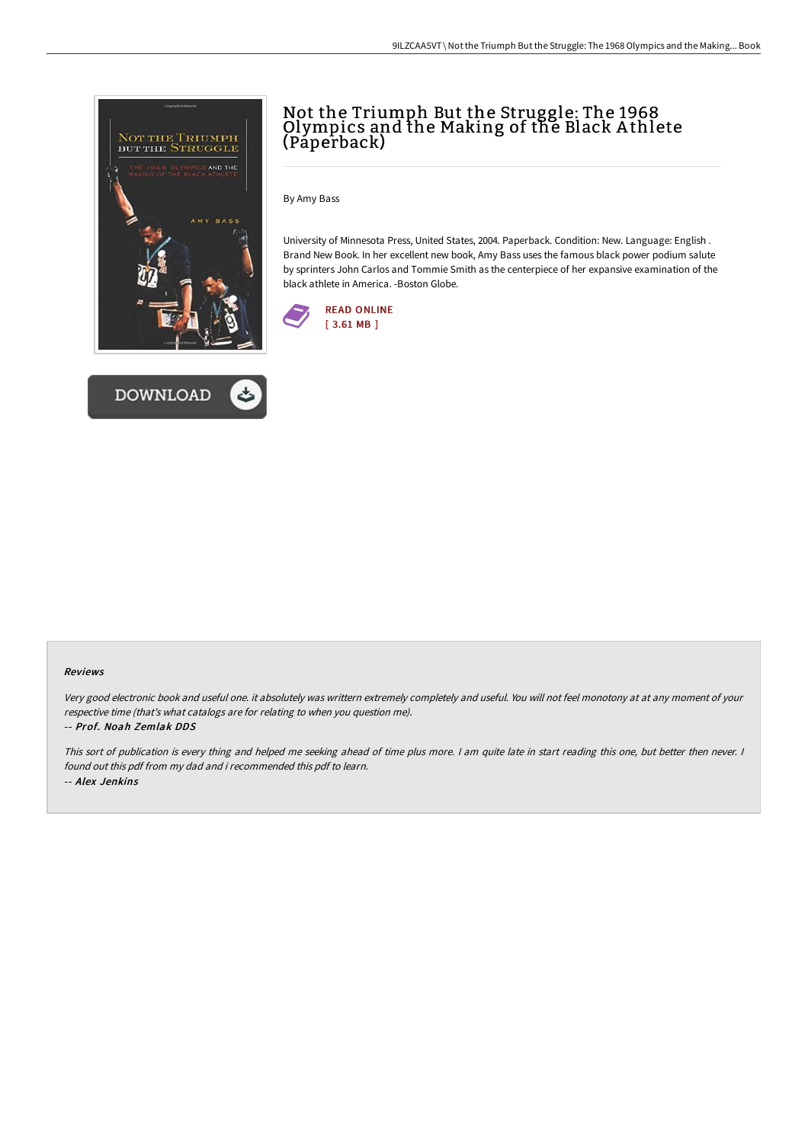



## Not the Triumph But the Struggle: The 1968 Olympics and the Making of the Black A thlete (Paperback)

By Amy Bass

University of Minnesota Press, United States, 2004. Paperback. Condition: New. Language: English . Brand New Book. In her excellent new book, Amy Bass uses the famous black power podium salute by sprinters John Carlos and Tommie Smith as the centerpiece of her expansive examination of the black athlete in America. -Boston Globe.



## Reviews

Very good electronic book and useful one. it absolutely was writtern extremely completely and useful. You will not feel monotony at at any moment of your respective time (that's what catalogs are for relating to when you question me).

## -- Prof. Noah Zemlak DDS

This sort of publication is every thing and helped me seeking ahead of time plus more. <sup>I</sup> am quite late in start reading this one, but better then never. <sup>I</sup> found out this pdf from my dad and i recommended this pdf to learn. -- Alex Jenkins